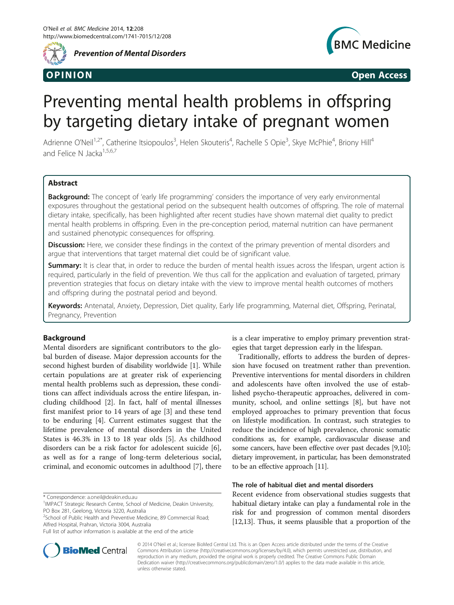

**Prevention of Mental Disorders** 



O PINION Open Access

# Preventing mental health problems in offspring by targeting dietary intake of pregnant women

Adrienne O'Neil<sup>1,2\*</sup>, Catherine Itsiopoulos<sup>3</sup>, Helen Skouteris<sup>4</sup>, Rachelle S Opie<sup>3</sup>, Skye McPhie<sup>4</sup>, Briony Hill<sup>4</sup> and Felice N Jacka<sup>1,5,6,7</sup>

# Abstract

**Background:** The concept of 'early life programming' considers the importance of very early environmental exposures throughout the gestational period on the subsequent health outcomes of offspring. The role of maternal dietary intake, specifically, has been highlighted after recent studies have shown maternal diet quality to predict mental health problems in offspring. Even in the pre-conception period, maternal nutrition can have permanent and sustained phenotypic consequences for offspring.

Discussion: Here, we consider these findings in the context of the primary prevention of mental disorders and argue that interventions that target maternal diet could be of significant value.

Summary: It is clear that, in order to reduce the burden of mental health issues across the lifespan, urgent action is required, particularly in the field of prevention. We thus call for the application and evaluation of targeted, primary prevention strategies that focus on dietary intake with the view to improve mental health outcomes of mothers and offspring during the postnatal period and beyond.

Keywords: Antenatal, Anxiety, Depression, Diet quality, Early life programming, Maternal diet, Offspring, Perinatal, Pregnancy, Prevention

## Background

Mental disorders are significant contributors to the global burden of disease. Major depression accounts for the second highest burden of disability worldwide [\[1](#page-5-0)]. While certain populations are at greater risk of experiencing mental health problems such as depression, these conditions can affect individuals across the entire lifespan, including childhood [[2\]](#page-5-0). In fact, half of mental illnesses first manifest prior to 14 years of age [\[3\]](#page-5-0) and these tend to be enduring [\[4](#page-5-0)]. Current estimates suggest that the lifetime prevalence of mental disorders in the United States is 46.3% in 13 to 18 year olds [\[5](#page-5-0)]. As childhood disorders can be a risk factor for adolescent suicide [\[6](#page-5-0)], as well as for a range of long-term deleterious social, criminal, and economic outcomes in adulthood [[7](#page-5-0)], there



Traditionally, efforts to address the burden of depression have focused on treatment rather than prevention. Preventive interventions for mental disorders in children and adolescents have often involved the use of established psycho-therapeutic approaches, delivered in community, school, and online settings [\[8](#page-5-0)], but have not employed approaches to primary prevention that focus on lifestyle modification. In contrast, such strategies to reduce the incidence of high prevalence, chronic somatic conditions as, for example, cardiovascular disease and some cancers, have been effective over past decades [\[9,10](#page-5-0)]; dietary improvement, in particular, has been demonstrated to be an effective approach [[11](#page-5-0)].

#### The role of habitual diet and mental disorders

Recent evidence from observational studies suggests that habitual dietary intake can play a fundamental role in the risk for and progression of common mental disorders [[12](#page-5-0),[13](#page-5-0)]. Thus, it seems plausible that a proportion of the



© 2014 O'Neil et al.; licensee BioMed Central Ltd. This is an Open Access article distributed under the terms of the Creative Commons Attribution License [\(http://creativecommons.org/licenses/by/4.0\)](http://creativecommons.org/licenses/by/4.0), which permits unrestricted use, distribution, and reproduction in any medium, provided the original work is properly credited. The Creative Commons Public Domain Dedication waiver [\(http://creativecommons.org/publicdomain/zero/1.0/](http://creativecommons.org/publicdomain/zero/1.0/)) applies to the data made available in this article, unless otherwise stated.

<sup>\*</sup> Correspondence: [a.oneil@deakin.edu.au](mailto:a.oneil@deakin.edu.au) <sup>1</sup>

<sup>&</sup>lt;sup>1</sup>IMPACT Strategic Research Centre, School of Medicine, Deakin University, PO Box 281, Geelong, Victoria 3220, Australia

<sup>&</sup>lt;sup>2</sup>School of Public Health and Preventive Medicine, 89 Commercial Road; Alfred Hospital, Prahran, Victoria 3004, Australia

Full list of author information is available at the end of the article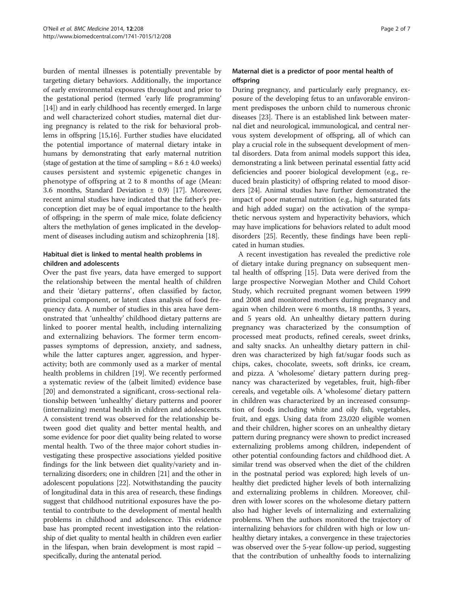burden of mental illnesses is potentially preventable by targeting dietary behaviors. Additionally, the importance of early environmental exposures throughout and prior to the gestational period (termed 'early life programming' [[14](#page-5-0)]) and in early childhood has recently emerged. In large and well characterized cohort studies, maternal diet during pregnancy is related to the risk for behavioral problems in offspring [[15,16\]](#page-5-0). Further studies have elucidated the potential importance of maternal dietary intake in humans by demonstrating that early maternal nutrition (stage of gestation at the time of sampling  $= 8.6 \pm 4.0$  weeks) causes persistent and systemic epigenetic changes in phenotype of offspring at 2 to 8 months of age (Mean: 3.6 months, Standard Deviation ± 0.9) [\[17\]](#page-5-0). Moreover, recent animal studies have indicated that the father's preconception diet may be of equal importance to the health of offspring; in the sperm of male mice, folate deficiency alters the methylation of genes implicated in the development of diseases including autism and schizophrenia [[18](#page-5-0)].

# Habitual diet is linked to mental health problems in children and adolescents

Over the past five years, data have emerged to support the relationship between the mental health of children and their 'dietary patterns', often classified by factor, principal component, or latent class analysis of food frequency data. A number of studies in this area have demonstrated that 'unhealthy' childhood dietary patterns are linked to poorer mental health, including internalizing and externalizing behaviors. The former term encompasses symptoms of depression, anxiety, and sadness, while the latter captures anger, aggression, and hyperactivity; both are commonly used as a marker of mental health problems in children [[19\]](#page-5-0). We recently performed a systematic review of the (albeit limited) evidence base [[20\]](#page-5-0) and demonstrated a significant, cross-sectional relationship between 'unhealthy' dietary patterns and poorer (internalizing) mental health in children and adolescents. A consistent trend was observed for the relationship between good diet quality and better mental health, and some evidence for poor diet quality being related to worse mental health. Two of the three major cohort studies investigating these prospective associations yielded positive findings for the link between diet quality/variety and internalizing disorders; one in children [\[21\]](#page-5-0) and the other in adolescent populations [\[22\]](#page-5-0). Notwithstanding the paucity of longitudinal data in this area of research, these findings suggest that childhood nutritional exposures have the potential to contribute to the development of mental health problems in childhood and adolescence. This evidence base has prompted recent investigation into the relationship of diet quality to mental health in children even earlier in the lifespan, when brain development is most rapid – specifically, during the antenatal period.

# Maternal diet is a predictor of poor mental health of offspring

During pregnancy, and particularly early pregnancy, exposure of the developing fetus to an unfavorable environment predisposes the unborn child to numerous chronic diseases [[23](#page-5-0)]. There is an established link between maternal diet and neurological, immunological, and central nervous system development of offspring, all of which can play a crucial role in the subsequent development of mental disorders. Data from animal models support this idea, demonstrating a link between perinatal essential fatty acid deficiencies and poorer biological development (e.g., reduced brain plasticity) of offspring related to mood disorders [[24](#page-5-0)]. Animal studies have further demonstrated the impact of poor maternal nutrition (e.g., high saturated fats and high added sugar) on the activation of the sympathetic nervous system and hyperactivity behaviors, which may have implications for behaviors related to adult mood disorders [\[25\]](#page-5-0). Recently, these findings have been replicated in human studies.

A recent investigation has revealed the predictive role of dietary intake during pregnancy on subsequent mental health of offspring [[15\]](#page-5-0). Data were derived from the large prospective Norwegian Mother and Child Cohort Study, which recruited pregnant women between 1999 and 2008 and monitored mothers during pregnancy and again when children were 6 months, 18 months, 3 years, and 5 years old. An unhealthy dietary pattern during pregnancy was characterized by the consumption of processed meat products, refined cereals, sweet drinks, and salty snacks. An unhealthy dietary pattern in children was characterized by high fat/sugar foods such as chips, cakes, chocolate, sweets, soft drinks, ice cream, and pizza. A 'wholesome' dietary pattern during pregnancy was characterized by vegetables, fruit, high-fiber cereals, and vegetable oils. A 'wholesome' dietary pattern in children was characterized by an increased consumption of foods including white and oily fish, vegetables, fruit, and eggs. Using data from 23,020 eligible women and their children, higher scores on an unhealthy dietary pattern during pregnancy were shown to predict increased externalizing problems among children, independent of other potential confounding factors and childhood diet. A similar trend was observed when the diet of the children in the postnatal period was explored; high levels of unhealthy diet predicted higher levels of both internalizing and externalizing problems in children. Moreover, children with lower scores on the wholesome dietary pattern also had higher levels of internalizing and externalizing problems. When the authors monitored the trajectory of internalizing behaviors for children with high or low unhealthy dietary intakes, a convergence in these trajectories was observed over the 5-year follow-up period, suggesting that the contribution of unhealthy foods to internalizing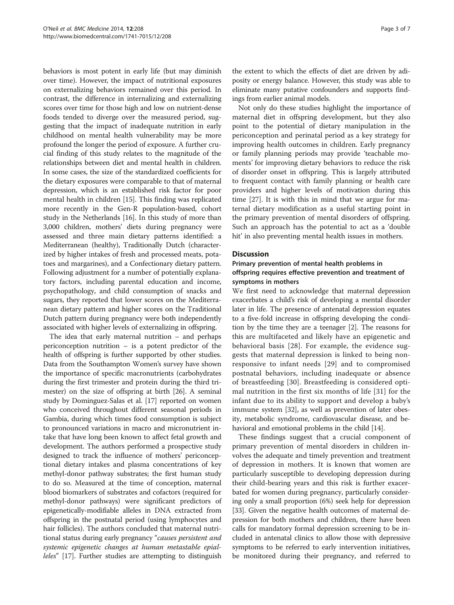behaviors is most potent in early life (but may diminish over time). However, the impact of nutritional exposures on externalizing behaviors remained over this period. In contrast, the difference in internalizing and externalizing scores over time for those high and low on nutrient-dense foods tended to diverge over the measured period, suggesting that the impact of inadequate nutrition in early childhood on mental health vulnerability may be more profound the longer the period of exposure. A further crucial finding of this study relates to the magnitude of the relationships between diet and mental health in children. In some cases, the size of the standardized coefficients for the dietary exposures were comparable to that of maternal depression, which is an established risk factor for poor mental health in children [\[15\]](#page-5-0). This finding was replicated more recently in the Gen-R population-based, cohort study in the Netherlands [\[16\]](#page-5-0). In this study of more than 3,000 children, mothers' diets during pregnancy were assessed and three main dietary patterns identified: a Mediterranean (healthy), Traditionally Dutch (characterized by higher intakes of fresh and processed meats, potatoes and margarines), and a Confectionary dietary pattern. Following adjustment for a number of potentially explanatory factors, including parental education and income, psychopathology, and child consumption of snacks and sugars, they reported that lower scores on the Mediterranean dietary pattern and higher scores on the Traditional Dutch pattern during pregnancy were both independently associated with higher levels of externalizing in offspring.

The idea that early maternal nutrition – and perhaps periconception nutrition – is a potent predictor of the health of offspring is further supported by other studies. Data from the Southampton Women's survey have shown the importance of specific macronutrients (carbohydrates during the first trimester and protein during the third trimester) on the size of offspring at birth [[26\]](#page-5-0). A seminal study by Dominguez-Salas et al. [\[17\]](#page-5-0) reported on women who conceived throughout different seasonal periods in Gambia, during which times food consumption is subject to pronounced variations in macro and micronutrient intake that have long been known to affect fetal growth and development. The authors performed a prospective study designed to track the influence of mothers' periconceptional dietary intakes and plasma concentrations of key methyl-donor pathway substrates; the first human study to do so. Measured at the time of conception, maternal blood biomarkers of substrates and cofactors (required for methyl-donor pathways) were significant predictors of epigenetically-modifiable alleles in DNA extracted from offspring in the postnatal period (using lymphocytes and hair follicles). The authors concluded that maternal nutritional status during early pregnancy "causes persistent and systemic epigenetic changes at human metastable epialleles" [\[17](#page-5-0)]. Further studies are attempting to distinguish

the extent to which the effects of diet are driven by adiposity or energy balance. However, this study was able to eliminate many putative confounders and supports findings from earlier animal models.

Not only do these studies highlight the importance of maternal diet in offspring development, but they also point to the potential of dietary manipulation in the periconception and perinatal period as a key strategy for improving health outcomes in children. Early pregnancy or family planning periods may provide 'teachable moments' for improving dietary behaviors to reduce the risk of disorder onset in offspring. This is largely attributed to frequent contact with family planning or health care providers and higher levels of motivation during this time [[27\]](#page-5-0). It is with this in mind that we argue for maternal dietary modification as a useful starting point in the primary prevention of mental disorders of offspring. Such an approach has the potential to act as a 'double hit' in also preventing mental health issues in mothers.

## **Discussion**

# Primary prevention of mental health problems in offspring requires effective prevention and treatment of symptoms in mothers

We first need to acknowledge that maternal depression exacerbates a child's risk of developing a mental disorder later in life. The presence of antenatal depression equates to a five-fold increase in offspring developing the condition by the time they are a teenager [\[2](#page-5-0)]. The reasons for this are multifaceted and likely have an epigenetic and behavioral basis [[28](#page-5-0)]. For example, the evidence suggests that maternal depression is linked to being nonresponsive to infant needs [[29](#page-5-0)] and to compromised postnatal behaviors, including inadequate or absence of breastfeeding [[30\]](#page-5-0). Breastfeeding is considered optimal nutrition in the first six months of life [\[31\]](#page-5-0) for the infant due to its ability to support and develop a baby's immune system [\[32\]](#page-5-0), as well as prevention of later obesity, metabolic syndrome, cardiovascular disease, and behavioral and emotional problems in the child [\[14\]](#page-5-0).

These findings suggest that a crucial component of primary prevention of mental disorders in children involves the adequate and timely prevention and treatment of depression in mothers. It is known that women are particularly susceptible to developing depression during their child-bearing years and this risk is further exacerbated for women during pregnancy, particularly considering only a small proportion (6%) seek help for depression [[33](#page-5-0)]. Given the negative health outcomes of maternal depression for both mothers and children, there have been calls for mandatory formal depression screening to be included in antenatal clinics to allow those with depressive symptoms to be referred to early intervention initiatives, be monitored during their pregnancy, and referred to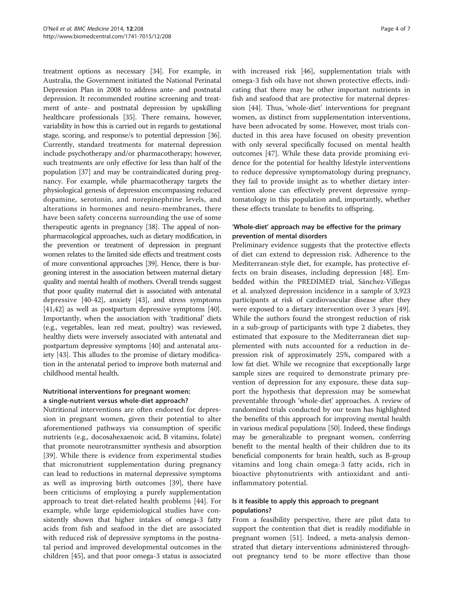treatment options as necessary [\[34\]](#page-5-0). For example, in Australia, the Government initiated the National Perinatal Depression Plan in 2008 to address ante- and postnatal depression. It recommended routine screening and treatment of ante- and postnatal depression by upskilling healthcare professionals [[35](#page-5-0)]. There remains, however, variability in how this is carried out in regards to gestational stage, scoring, and response/s to potential depression [\[36](#page-5-0)]. Currently, standard treatments for maternal depression include psychotherapy and/or pharmacotherapy; however, such treatments are only effective for less than half of the population [\[37](#page-5-0)] and may be contraindicated during pregnancy. For example, while pharmacotherapy targets the physiological genesis of depression encompassing reduced dopamine, serotonin, and norepinephrine levels, and alterations in hormones and neuro-membranes, there have been safety concerns surrounding the use of some therapeutic agents in pregnancy [\[38\]](#page-5-0). The appeal of nonpharmacological approaches, such as dietary modification, in the prevention or treatment of depression in pregnant women relates to the limited side effects and treatment costs of more conventional approaches [[39\]](#page-5-0). Hence, there is burgeoning interest in the association between maternal dietary quality and mental health of mothers. Overall trends suggest that poor quality maternal diet is associated with antenatal depressive [[40-42\]](#page-5-0), anxiety [[43](#page-5-0)], and stress symptoms [[41,42](#page-5-0)] as well as postpartum depressive symptoms [[40](#page-5-0)]. Importantly, when the association with 'traditional' diets (e.g., vegetables, lean red meat, poultry) was reviewed, healthy diets were inversely associated with antenatal and postpartum depressive symptoms [\[40](#page-5-0)] and antenatal anxiety [\[43](#page-5-0)]. This alludes to the promise of dietary modification in the antenatal period to improve both maternal and childhood mental health.

# Nutritional interventions for pregnant women: a single-nutrient versus whole-diet approach?

Nutritional interventions are often endorsed for depression in pregnant women, given their potential to alter aforementioned pathways via consumption of specific nutrients (e.g., docosahexaenoic acid, B vitamins, folate) that promote neurotransmitter synthesis and absorption [[39\]](#page-5-0). While there is evidence from experimental studies that micronutrient supplementation during pregnancy can lead to reductions in maternal depressive symptoms as well as improving birth outcomes [\[39](#page-5-0)], there have been criticisms of employing a purely supplementation approach to treat diet-related health problems [[44](#page-6-0)]. For example, while large epidemiological studies have consistently shown that higher intakes of omega-3 fatty acids from fish and seafood in the diet are associated with reduced risk of depressive symptoms in the postnatal period and improved developmental outcomes in the children [[45](#page-6-0)], and that poor omega-3 status is associated

with increased risk [\[46\]](#page-6-0), supplementation trials with omega-3 fish oils have not shown protective effects, indicating that there may be other important nutrients in fish and seafood that are protective for maternal depression [\[44](#page-6-0)]. Thus, 'whole-diet' interventions for pregnant women, as distinct from supplementation interventions, have been advocated by some. However, most trials conducted in this area have focused on obesity prevention with only several specifically focused on mental health outcomes [\[47\]](#page-6-0). While these data provide promising evidence for the potential for healthy lifestyle interventions to reduce depressive symptomatology during pregnancy, they fail to provide insight as to whether dietary intervention alone can effectively prevent depressive symptomatology in this population and, importantly, whether these effects translate to benefits to offspring.

# 'Whole-diet' approach may be effective for the primary prevention of mental disorders

Preliminary evidence suggests that the protective effects of diet can extend to depression risk. Adherence to the Mediterranean-style diet, for example, has protective effects on brain diseases, including depression [[48\]](#page-6-0). Embedded within the PREDIMED trial, Sánchez-Villegas et al. analyzed depression incidence in a sample of 3,923 participants at risk of cardiovascular disease after they were exposed to a dietary intervention over 3 years [\[49](#page-6-0)]. While the authors found the strongest reduction of risk in a sub-group of participants with type 2 diabetes, they estimated that exposure to the Mediterranean diet supplemented with nuts accounted for a reduction in depression risk of approximately 25%, compared with a low fat diet. While we recognize that exceptionally large sample sizes are required to demonstrate primary prevention of depression for any exposure, these data support the hypothesis that depression may be somewhat preventable through 'whole-diet' approaches. A review of randomized trials conducted by our team has highlighted the benefits of this approach for improving mental health in various medical populations [\[50](#page-6-0)]. Indeed, these findings may be generalizable to pregnant women, conferring benefit to the mental health of their children due to its beneficial components for brain health, such as B-group vitamins and long chain omega-3 fatty acids, rich in bioactive phytonutrients with antioxidant and antiinflammatory potential.

# Is it feasible to apply this approach to pregnant populations?

From a feasibility perspective, there are pilot data to support the contention that diet is readily modifiable in pregnant women [[51](#page-6-0)]. Indeed, a meta-analysis demonstrated that dietary interventions administered throughout pregnancy tend to be more effective than those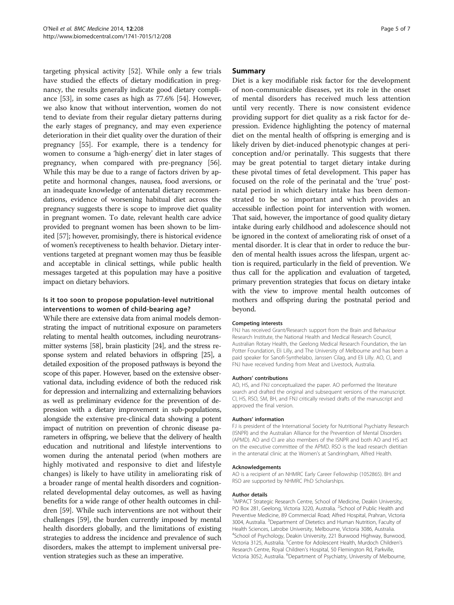targeting physical activity [[52](#page-6-0)]. While only a few trials have studied the effects of dietary modification in pregnancy, the results generally indicate good dietary compliance [[53](#page-6-0)], in some cases as high as 77.6% [[54](#page-6-0)]. However, we also know that without intervention, women do not tend to deviate from their regular dietary patterns during the early stages of pregnancy, and may even experience deterioration in their diet quality over the duration of their pregnancy [[55\]](#page-6-0). For example, there is a tendency for women to consume a 'high-energy' diet in later stages of pregnancy, when compared with pre-pregnancy [[56](#page-6-0)]. While this may be due to a range of factors driven by appetite and hormonal changes, nausea, food aversions, or an inadequate knowledge of antenatal dietary recommendations, evidence of worsening habitual diet across the pregnancy suggests there is scope to improve diet quality in pregnant women. To date, relevant health care advice provided to pregnant women has been shown to be limited [\[57](#page-6-0)]; however, promisingly, there is historical evidence of women's receptiveness to health behavior. Dietary interventions targeted at pregnant women may thus be feasible and acceptable in clinical settings, while public health messages targeted at this population may have a positive impact on dietary behaviors.

# Is it too soon to propose population-level nutritional interventions to women of child-bearing age?

While there are extensive data from animal models demonstrating the impact of nutritional exposure on parameters relating to mental health outcomes, including neurotransmitter systems [[58](#page-6-0)], brain plasticity [\[24](#page-5-0)], and the stress response system and related behaviors in offspring [\[25](#page-5-0)], a detailed exposition of the proposed pathways is beyond the scope of this paper. However, based on the extensive observational data, including evidence of both the reduced risk for depression and internalizing and externalizing behaviors as well as preliminary evidence for the prevention of depression with a dietary improvement in sub-populations, alongside the extensive pre-clinical data showing a potent impact of nutrition on prevention of chronic disease parameters in offspring, we believe that the delivery of health education and nutritional and lifestyle interventions to women during the antenatal period (when mothers are highly motivated and responsive to diet and lifestyle changes) is likely to have utility in ameliorating risk of a broader range of mental health disorders and cognitionrelated developmental delay outcomes, as well as having benefits for a wide range of other health outcomes in children [\[59](#page-6-0)]. While such interventions are not without their challenges [[59](#page-6-0)], the burden currently imposed by mental health disorders globally, and the limitations of existing strategies to address the incidence and prevalence of such disorders, makes the attempt to implement universal prevention strategies such as these an imperative.

## Summary

Diet is a key modifiable risk factor for the development of non-communicable diseases, yet its role in the onset of mental disorders has received much less attention until very recently. There is now consistent evidence providing support for diet quality as a risk factor for depression. Evidence highlighting the potency of maternal diet on the mental health of offspring is emerging and is likely driven by diet-induced phenotypic changes at periconception and/or perinatally. This suggests that there may be great potential to target dietary intake during these pivotal times of fetal development. This paper has focused on the role of the perinatal and the 'true' postnatal period in which dietary intake has been demonstrated to be so important and which provides an accessible inflection point for intervention with women. That said, however, the importance of good quality dietary intake during early childhood and adolescence should not be ignored in the context of ameliorating risk of onset of a mental disorder. It is clear that in order to reduce the burden of mental health issues across the lifespan, urgent action is required, particularly in the field of prevention. We thus call for the application and evaluation of targeted, primary prevention strategies that focus on dietary intake with the view to improve mental health outcomes of mothers and offspring during the postnatal period and beyond.

#### Competing interests

FNJ has received Grant/Research support from the Brain and Behaviour Research Institute, the National Health and Medical Research Council, Australian Rotary Health, the Geelong Medical Research Foundation, the Ian Potter Foundation, Eli Lilly, and The University of Melbourne and has been a paid speaker for Sanofi-Synthelabo, Janssen Cilag, and Eli Lilly. AO, CI, and FNJ have received funding from Meat and Livestock, Australia.

#### Authors' contributions

AO, HS, and FNJ conceptualized the paper. AO performed the literature search and drafted the original and subsequent versions of the manuscript. CI, HS, RSO, SM, BH, and FNJ critically revised drafts of the manuscript and approved the final version.

#### Authors' information

FJ is president of the International Society for Nutritional Psychiatry Research (ISNPR) and the Australian Alliance for the Prevention of Mental Disorders (APMD). AO and CI are also members of the ISNPR and both AO and HS act on the executive committee of the APMD. RSO is the lead research dietitian in the antenatal clinic at the Women's at Sandringham, Alfred Health.

#### Acknowledgements

AO is a recipient of an NHMRC Early Career Fellowship (1052865). BH and RSO are supported by NHMRC PhD Scholarships.

#### Author details

<sup>1</sup>IMPACT Strategic Research Centre, School of Medicine, Deakin University, PO Box 281, Geelong, Victoria 3220, Australia. <sup>2</sup>School of Public Health and Preventive Medicine, 89 Commercial Road; Alfred Hospital, Prahran, Victoria 3004, Australia. <sup>3</sup>Department of Dietetics and Human Nutrition, Faculty of Health Sciences, Latrobe University, Melbourne, Victoria 3086, Australia. 4 School of Psychology, Deakin University, 221 Burwood Highway, Burwood, Victoria 3125, Australia. <sup>5</sup>Centre for Adolescent Health, Murdoch Children's Research Centre, Royal Children's Hospital, 50 Flemington Rd, Parkville, Victoria 3052, Australia. <sup>6</sup>Department of Psychiatry, University of Melbourne,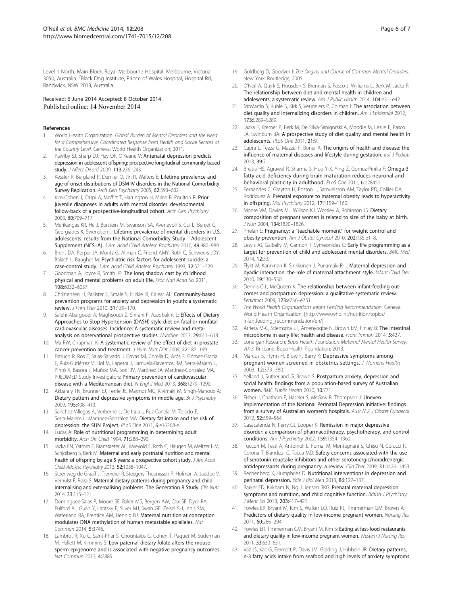<span id="page-5-0"></span>Level 1 North, Main Block, Royal Melbourne Hospital, Melbourne, Victoria 3050, Australia. <sup>7</sup>Black Dog Institute, Prince of Wales Hospital, Hospital Rd, Randwick, NSW 2013, Australia.

#### Received: 6 June 2014 Accepted: 8 October 2014 Published online: 14 November 2014

#### References

- 1. World Health Organization: Global Burden of Mental Disorders and the Need for a Comprehensive, Coordinated Response from Health and Social Sectors at the Country Level. Geneva: World Health Organization; 2011.
- Pawlby SJ, Sharp DJ, Hay DF, O'Keane V: Antenatal depression predicts depression in adolescent offspring: prospective longitudinal community-based study. J Affect Disord 2009, 113:236–243.
- 3. Kessler R, Bergland P, Demler O, Jin R, Walters E: Lifetime prevalence and age-of-onset distributions of DSM-IV disorders in the National Comorbidity Survey Replication. Arch Gen Psychiatry 2005, 62:593–602.
- Kim-Cohen J, Caspi A, Moffitt T, Harrington H, Milne B, Poulton R: Prior juvenile diagnoses in adults with mental disorder: developmental follow-back of a prospective-longitudinal cohort. Arch Gen Psychiatry 2003, 60:709–717.
- 5. Merikangas KR, He J, Burstein M, Swanson SA, Avenevoli S, Cui L, Benjet C, Georgiades K, Swendsen J: Lifetime prevalence of mental disorders in U.S. adolescents: results from the National Comorbidity Study – Adolescent Supplement (NCS-A). J Am Acad Child Adolesc Psychiatry 2010, 49:980-989.
- 6. Brent DA, Perper JA, Moritz G, Allman C, Friend AMY, Roth C, Schweers JOY, Balach L, Baugher M: Psychiatric risk factors for adolescent suicide: a case-control study. J Am Acad Child Adolesc Psychiatry 1993, 32:521–529.
- 7. Goodman A, Joyce R, Smith JP: The long shadow cast by childhood physical and mental problems on adult life. Proc Natl Acad Sci 2011, 108:6032–6037.
- Christensen H, Pallister E, Smale S, Hickie IB, Calear AL: Community-based prevention programs for anxiety and depression in youth: a systematic review. J Prim Prev 2010, 31:139–170.
- 9. Salehi-Abargouei A, Maghsoudi Z, Shirani F, Azadbakht L: Effects of Dietary Approaches to Stop Hypertension (DASH)-style diet on fatal or nonfatal cardiovascular diseases–Incidence: A systematic review and metaanalysis on observational prospective studies. Nutrition 2013, 29:611–618.
- 10. Ma RW, Chapman K: A systematic review of the effect of diet in prostate cancer prevention and treatment. J Hum Nutr Diet 2009, 22:187–199.
- 11. Estruch R, Ros E, Salas-Salvadó J, Covas MI, Corella D, Arós F, Gómez-Gracia E, Ruiz-Gutiérrez V, Fiol M, Lapetra J, Lamuela-Raventos RM, Serra-Majem L, Pintó X, Basora J, Muñoz MA, Sorlí JV, Martínez JA, Martínez-González MA, PREDIMED Study Investigators: Primary prevention of cardiovascular disease with a Mediterranean diet. N Engl J Med 2013, 368:1279–1290.
- 12. Akbaraly TN, Brunner EJ, Ferrie JE, Marmot MG, Kivimaki M, Singh-Manoux A: Dietary pattern and depressive symptoms in middle age. Br J Psychiatry 2009, 195:408–413.
- 13. Sanchez-Villegas A, Verberne L, De Irala J, Ruz-Canela M, Toledo E, Serra-Majem L, Martínez-González MA: Dietary fat intake and the risk of depression: the SUN Project. PLoS One 2011, 6:e16268-e.
- 14. Lucas A: Role of nutritional programming in determining adult morbidity. Arch Dis Child 1994, 71:288–290.
- 15. Jacka FN, Ystrom E, Brantsaeter AL, Karevold E, Roth C, Haugen M, Meltzer HM, Schjolberg S, Berk M: Maternal and early postnatal nutrition and mental health of offspring by age 5 years: a prospective cohort study. J Am Acad Child Adolesc Psychiatry 2013, 52:1038–1047.
- 16. Steenweg-de Graaff J, Tiemeier R, Steegers-Theunissen P, Hofman A, Jaddoe V, Verhulst F, Roza S: Maternal dietary patterns during pregnancy and child internalising and externalising problems: The Generation R Study. Clin Nutr 2014, 33:115–121.
- 17. Dominguez-Salas P, Moore SE, Baker MS, Bergen AW, Cox SE, Dyer RA, Fulford AJ, Guan Y, Laritsky E, Silver MJ, Swan GE, Zeisel SH, Innis SM, Waterland RA, Prentice AM, Hennig BJ: Maternal nutrition at conception modulates DNA methylation of human metastable epialleles. Nat Commun 2014, 5:3746.
- 18. Lambrot R, Xu C, Saint-Phar S, Chountalos G, Cohen T, Paquet M, Suderman M, Hallett M, Kimmins S: Low paternal dietary folate alters the mouse sperm epigenome and is associated with negative pregnancy outcomes. Nat Commun 2013, 4:2889.
- 19. Goldberg D, Goodyer I: The Origins and Course of Common Mental Disorders. New York: Routledge; 2005.
- 20. O'Neil A, Quirk S, Housden S, Brennan S, Pasco J, Williams L, Berk M, Jacka F: The relationship between diet and mental health in children and adolescents: a systematic review. Am J Public Health 2014, 104:e31–e42.
- 21. McMartin S, Kuhle S, Kirk S, Veugelers P, Colman I: The association between diet quality and internalizing disorders in children. Am J Epidemiol 2012, 173:S289–S289.
- 22. Jacka F, Kremer P, Berk M, De Silva-Sanigorski A, Moodie M, Leslie E, Pasco JA, Swinburn BA: A prospective study of diet quality and mental health in adolescents. PLoS One 2011, 21:9.
- 23. Capra L, Tezza G, Mazzei E, Boner A: The origins of health and disease: the influence of maternal diseases and lifestyle during gestation. Ital J Pediatr 2013, 39:7.
- 24. Bhatia HS, Agrawal R, Sharma S, Huo Y-X, Ying Z, Gomez-Pinilla F: Omega-3 fatty acid deficiency during brain maturation reduces neuronal and behavioral plasticity in adulthood. PLoS One 2011, 6:e28451.
- 25. Fernandes C, Grayton H, Poston L, Samuelsson AM, Taylor PD, Collier DA, Rodriguez A: Prenatal exposure to maternal obesity leads to hyperactivity in offspring. Mol Psychiatry 2012, 17:1159–1160.
- 26. Moore VM, Davies MJ, Willson KJ, Worsley A, Robinson JS: Dietary composition of pregnant women is related to size of the baby at birth. J Nutr 2004, 134:1820–1826.
- 27. Phelan S: Pregnancy: a "teachable moment" for weight control and obesity prevention. Am J Obstet Gynecol 2010, 202:135.e1–8.
- 28. Lewis AJ, Galbally M, Gannon T, Symeonides C: Early life programming as a target for prevention of child and adolescent mental disorders. BMC Med 2014, 12:33.
- 29. Flykt M, Kanninen K, Sinkkonen J, Punamäki R-L: Maternal depression and dyadic interaction: the role of maternal attachment style. Infant Child Dev 2010, 19:530–550.
- 30. Dennis C-L, McQueen K: The relationship between infant-feeding outcomes and postpartum depression: a qualitative systematic review. Pediatrics 2009, 123:e736–e751.
- 31. The World Health Organization's Infant Feeding Recommendation. Geneva: World Health Organization; [[http://www.who.int/nutrition/topics/](http://www.who.int/nutrition/topics/infantfeeding_recommendation/en/) [infantfeeding\\_recommendation/en/\]](http://www.who.int/nutrition/topics/infantfeeding_recommendation/en/)
- 32. Arrieta M-C, Stiemsma LT, Amenyogbe N, Brown EM, Finlay B: The intestinal microbiome in early life: health and disease. Front Immun 2014, 5:427.
- Lonergan Research: Bupa Health Foundation Maternal Mental Health Survey, 2013. Brisbane: Bupa Health Foundation; 2013.
- 34. Marcus S, Flynn H, Blow F, Barry K: Depressive symptoms among pregnant women screened in obstetrics settings. J Womens Health 2003, 12:373–380.
- 35. Yelland J, Sutherland G, Brown S: Postpartum anxiety, depression and social health: findings from a population-based survey of Australian women. BMC Public Health 2010, 10:771.
- 36. Fisher J, Chatham E, Haseler S, McGaw B, Thompson J: Uneven implementation of the National Perinatal Depression Initiative: findings from a survey of Australian women's hospitals. Aust N Z J Obstet Gynaecol 2012, 52:559–564.
- 37. Casacalenda N, Perry CJ, Looper K: Remission in major depressive disorder: a comparison of pharmacotherapy, psychotherapy, and control conditions. Am J Psychiatry 2002, 159:1354–1360.
- 38. Tuccori M, Testi A, Antonioli L, Fornai M, Montagnani S, Ghisu N, Colucci R, Corona T, Blandizzi C, Tacca MD: Safety concerns associated with the use of serotonin reuptake inhibitors and other serotonergic/noradrenergic antidepressants during pregnancy: a review. Clin Ther 2009, 31:1426–1453.
- 39. Rechenberg K, Humphries D: Nutritional interventions in depression and perinatal depression. Yale J Biol Med 2013, 86:127–137.
- 40. Barker ED, Kirkham N, Ng J, Jensen SKG: Prenatal maternal depression symptoms and nutrition, and child cognitive function. British J Psychiatry: J Ment Sci 2013, 203:417–421.
- 41. Fowles ER, Bryant M, Kim S, Walker LO, Ruiz RJ, Timmerman GM, Brown A: Predictors of dietary quality in low-income pregnant women. Nursing Res 2011, 60:286–294.
- 42. Fowles ER, Timmerman GM, Bryant M, Kim S: Eating at fast-food restaurants and dietary quality in low-income pregnant women. Western J Nursing Res 2011, 33:630–651.
- 43. Vaz JS, Kac G, Emmett P, Davis JM, Golding J, Hibbeln JR: Dietary patterns, n-3 fatty acids intake from seafood and high levels of anxiety symptoms